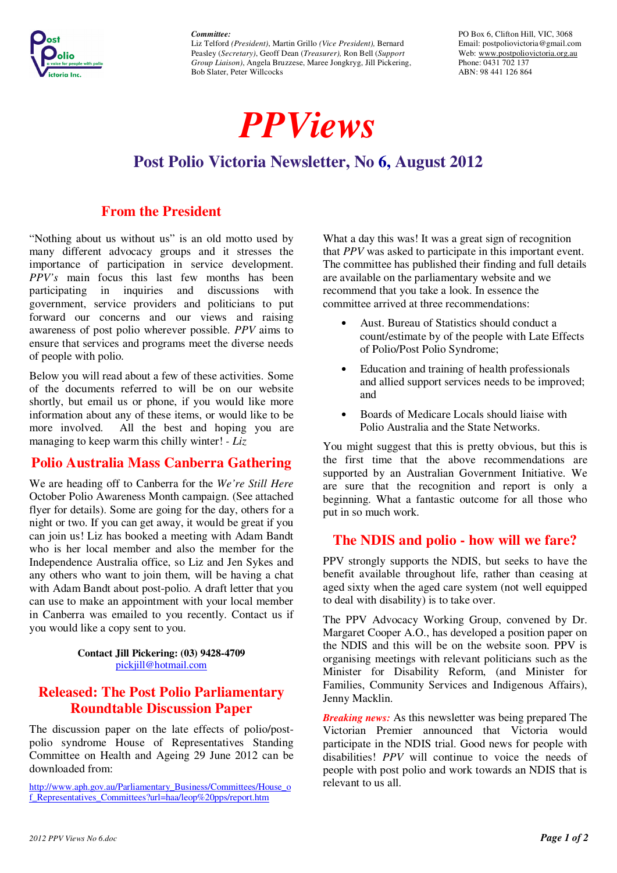*Committee:* 



Liz Telford *(President)*, Martin Grillo *(Vice President),* Bernard Peasley (*Secretary)*, Geoff Dean (*Treasurer),* Ron Bell (*Support Group Liaison)*, Angela Bruzzese, Maree Jongkryg, Jill Pickering, Bob Slater, Peter Willcocks

*PPViews* 

PO Box 6, Clifton Hill, VIC, 3068 Email: postpoliovictoria@gmail.com Web: www.postpoliovictoria.org.au Phone: 0431 702 137 ABN: 98 441 126 864

# **Post Polio Victoria Newsletter, No 6, August 2012**

# **From the President**

"Nothing about us without us" is an old motto used by many different advocacy groups and it stresses the importance of participation in service development. *PPV's* main focus this last few months has been participating in inquiries and discussions with government, service providers and politicians to put forward our concerns and our views and raising awareness of post polio wherever possible. *PPV* aims to ensure that services and programs meet the diverse needs of people with polio.

Below you will read about a few of these activities. Some of the documents referred to will be on our website shortly, but email us or phone, if you would like more information about any of these items, or would like to be more involved. All the best and hoping you are managing to keep warm this chilly winter! *- Liz*

# **Polio Australia Mass Canberra Gathering**

We are heading off to Canberra for the *We're Still Here*  October Polio Awareness Month campaign. (See attached flyer for details). Some are going for the day, others for a night or two. If you can get away, it would be great if you can join us! Liz has booked a meeting with Adam Bandt who is her local member and also the member for the Independence Australia office, so Liz and Jen Sykes and any others who want to join them, will be having a chat with Adam Bandt about post-polio. A draft letter that you can use to make an appointment with your local member in Canberra was emailed to you recently. Contact us if you would like a copy sent to you.

#### **Contact Jill Pickering: (03) 9428-4709**  pickjill@hotmail.com

# **Released: The Post Polio Parliamentary Roundtable Discussion Paper**

The discussion paper on the late effects of polio/postpolio syndrome House of Representatives Standing Committee on Health and Ageing 29 June 2012 can be downloaded from:

http://www.aph.gov.au/Parliamentary\_Business/Committees/House\_o f\_Representatives\_Committees?url=haa/leop%20pps/report.htm

What a day this was! It was a great sign of recognition that *PPV* was asked to participate in this important event. The committee has published their finding and full details are available on the parliamentary website and we recommend that you take a look. In essence the committee arrived at three recommendations:

- Aust. Bureau of Statistics should conduct a count/estimate by of the people with Late Effects of Polio/Post Polio Syndrome;
- Education and training of health professionals and allied support services needs to be improved; and
- Boards of Medicare Locals should liaise with Polio Australia and the State Networks.

You might suggest that this is pretty obvious, but this is the first time that the above recommendations are supported by an Australian Government Initiative. We are sure that the recognition and report is only a beginning. What a fantastic outcome for all those who put in so much work.

### **The NDIS and polio - how will we fare?**

PPV strongly supports the NDIS, but seeks to have the benefit available throughout life, rather than ceasing at aged sixty when the aged care system (not well equipped to deal with disability) is to take over.

The PPV Advocacy Working Group, convened by Dr. Margaret Cooper A.O., has developed a position paper on the NDIS and this will be on the website soon. PPV is organising meetings with relevant politicians such as the Minister for Disability Reform, (and Minister for Families, Community Services and Indigenous Affairs), Jenny Macklin.

*Breaking news:* As this newsletter was being prepared The Victorian Premier announced that Victoria would participate in the NDIS trial. Good news for people with disabilities! *PPV* will continue to voice the needs of people with post polio and work towards an NDIS that is relevant to us all.